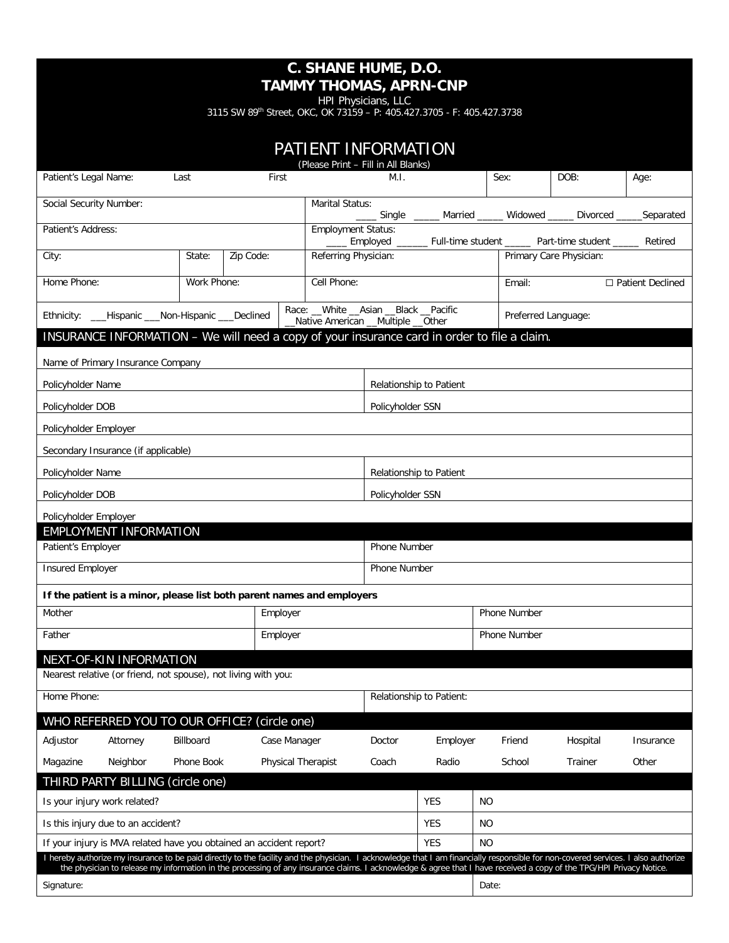HPI Physicians, LLC

3115 SW 89<sup>th</sup> Street, OKC, OK 73159 - P: 405.427.3705 - F: 405.427.3738

| PATIENT INFORMATION<br>(Please Print - Fill in All Blanks)                                                                                                                                                                                               |                                                                |             |                                                                        |                                                                               |                  |                                                                   |                                                                                                                                                                     |                         |                         |
|----------------------------------------------------------------------------------------------------------------------------------------------------------------------------------------------------------------------------------------------------------|----------------------------------------------------------------|-------------|------------------------------------------------------------------------|-------------------------------------------------------------------------------|------------------|-------------------------------------------------------------------|---------------------------------------------------------------------------------------------------------------------------------------------------------------------|-------------------------|-------------------------|
| Patient's Legal Name:                                                                                                                                                                                                                                    |                                                                | Last        | First                                                                  |                                                                               | M.I.             |                                                                   | Sex:                                                                                                                                                                | DOB:                    | Age:                    |
| Social Security Number:                                                                                                                                                                                                                                  |                                                                |             | Marital Status:                                                        |                                                                               |                  | Single _____ Married _____ Widowed _____ Divorced _____ Separated |                                                                                                                                                                     |                         |                         |
| Patient's Address:                                                                                                                                                                                                                                       |                                                                |             |                                                                        | <b>Employment Status:</b>                                                     |                  |                                                                   |                                                                                                                                                                     |                         |                         |
| City:                                                                                                                                                                                                                                                    |                                                                | State:      | Zip Code:                                                              | Referring Physician:                                                          |                  |                                                                   | ____ Employed ______ Full-time student _____ Part-time student _____ Retired                                                                                        | Primary Care Physician: |                         |
| Home Phone:                                                                                                                                                                                                                                              |                                                                |             |                                                                        | Cell Phone:                                                                   |                  |                                                                   |                                                                                                                                                                     |                         |                         |
|                                                                                                                                                                                                                                                          |                                                                | Work Phone: |                                                                        |                                                                               |                  |                                                                   | Email:                                                                                                                                                              |                         | $\Box$ Patient Declined |
|                                                                                                                                                                                                                                                          | Ethnicity: ___Hispanic ___Non-Hispanic ___Declined             |             |                                                                        | Race: __White __Asian __Black __Pacific<br>Native American __Multiple __Other |                  |                                                                   | Preferred Language:                                                                                                                                                 |                         |                         |
|                                                                                                                                                                                                                                                          |                                                                |             |                                                                        |                                                                               |                  |                                                                   | INSURANCE INFORMATION - We will need a copy of your insurance card in order to file a claim.                                                                        |                         |                         |
|                                                                                                                                                                                                                                                          | Name of Primary Insurance Company                              |             |                                                                        |                                                                               |                  |                                                                   |                                                                                                                                                                     |                         |                         |
| Policyholder Name                                                                                                                                                                                                                                        |                                                                |             |                                                                        |                                                                               |                  | Relationship to Patient                                           |                                                                                                                                                                     |                         |                         |
| Policyholder DOB                                                                                                                                                                                                                                         |                                                                |             |                                                                        |                                                                               | Policyholder SSN |                                                                   |                                                                                                                                                                     |                         |                         |
| Policyholder Employer                                                                                                                                                                                                                                    |                                                                |             |                                                                        |                                                                               |                  |                                                                   |                                                                                                                                                                     |                         |                         |
|                                                                                                                                                                                                                                                          | Secondary Insurance (if applicable)                            |             |                                                                        |                                                                               |                  |                                                                   |                                                                                                                                                                     |                         |                         |
| Policyholder Name                                                                                                                                                                                                                                        |                                                                |             |                                                                        | Relationship to Patient                                                       |                  |                                                                   |                                                                                                                                                                     |                         |                         |
| Policyholder DOB                                                                                                                                                                                                                                         |                                                                |             |                                                                        | Policyholder SSN                                                              |                  |                                                                   |                                                                                                                                                                     |                         |                         |
| Policyholder Employer                                                                                                                                                                                                                                    |                                                                |             |                                                                        |                                                                               |                  |                                                                   |                                                                                                                                                                     |                         |                         |
|                                                                                                                                                                                                                                                          | <b>EMPLOYMENT INFORMATION</b>                                  |             |                                                                        |                                                                               |                  |                                                                   |                                                                                                                                                                     |                         |                         |
| Patient's Employer                                                                                                                                                                                                                                       |                                                                |             |                                                                        | Phone Number                                                                  |                  |                                                                   |                                                                                                                                                                     |                         |                         |
| <b>Insured Employer</b>                                                                                                                                                                                                                                  |                                                                |             |                                                                        |                                                                               | Phone Number     |                                                                   |                                                                                                                                                                     |                         |                         |
|                                                                                                                                                                                                                                                          |                                                                |             | If the patient is a minor, please list both parent names and employers |                                                                               |                  |                                                                   |                                                                                                                                                                     |                         |                         |
| Mother<br>Employer                                                                                                                                                                                                                                       |                                                                |             |                                                                        | Phone Number                                                                  |                  |                                                                   |                                                                                                                                                                     |                         |                         |
| Father<br>Employer                                                                                                                                                                                                                                       |                                                                |             |                                                                        |                                                                               | Phone Number     |                                                                   |                                                                                                                                                                     |                         |                         |
|                                                                                                                                                                                                                                                          | NEXT-OF-KIN INFORMATION                                        |             |                                                                        |                                                                               |                  |                                                                   |                                                                                                                                                                     |                         |                         |
|                                                                                                                                                                                                                                                          | Nearest relative (or friend, not spouse), not living with you: |             |                                                                        |                                                                               |                  |                                                                   |                                                                                                                                                                     |                         |                         |
| Home Phone:                                                                                                                                                                                                                                              |                                                                |             |                                                                        |                                                                               |                  | Relationship to Patient:                                          |                                                                                                                                                                     |                         |                         |
|                                                                                                                                                                                                                                                          |                                                                |             | WHO REFERRED YOU TO OUR OFFICE? (circle one)                           |                                                                               |                  |                                                                   |                                                                                                                                                                     |                         |                         |
| Adjustor                                                                                                                                                                                                                                                 | Attorney                                                       | Billboard   | Case Manager                                                           |                                                                               | Doctor           | Employer                                                          | Friend                                                                                                                                                              | Hospital                | Insurance               |
| Magazine                                                                                                                                                                                                                                                 | Neighbor                                                       | Phone Book  | Physical Therapist                                                     |                                                                               | Coach            | Radio                                                             | School                                                                                                                                                              | Trainer                 | Other                   |
|                                                                                                                                                                                                                                                          | THIRD PARTY BILLING (circle one)                               |             |                                                                        |                                                                               |                  |                                                                   |                                                                                                                                                                     |                         |                         |
| Is your injury work related?                                                                                                                                                                                                                             |                                                                |             |                                                                        |                                                                               |                  | <b>YES</b>                                                        | NO.                                                                                                                                                                 |                         |                         |
| Is this injury due to an accident?                                                                                                                                                                                                                       |                                                                |             |                                                                        |                                                                               |                  | <b>YES</b>                                                        | <b>NO</b>                                                                                                                                                           |                         |                         |
| If your injury is MVA related have you obtained an accident report?<br>I hereby authorize my insurance to be paid directly to the facility and the physician. I acknowledge that I am financially responsible for non-covered services. I also authorize |                                                                |             |                                                                        |                                                                               | <b>YES</b>       | <b>NO</b>                                                         |                                                                                                                                                                     |                         |                         |
|                                                                                                                                                                                                                                                          |                                                                |             |                                                                        |                                                                               |                  |                                                                   | the physician to release my information in the processing of any insurance claims. I acknowledge & agree that I have received a copy of the TPG/HPI Privacy Notice. |                         |                         |
| Signature:                                                                                                                                                                                                                                               |                                                                |             |                                                                        |                                                                               |                  |                                                                   | Date:                                                                                                                                                               |                         |                         |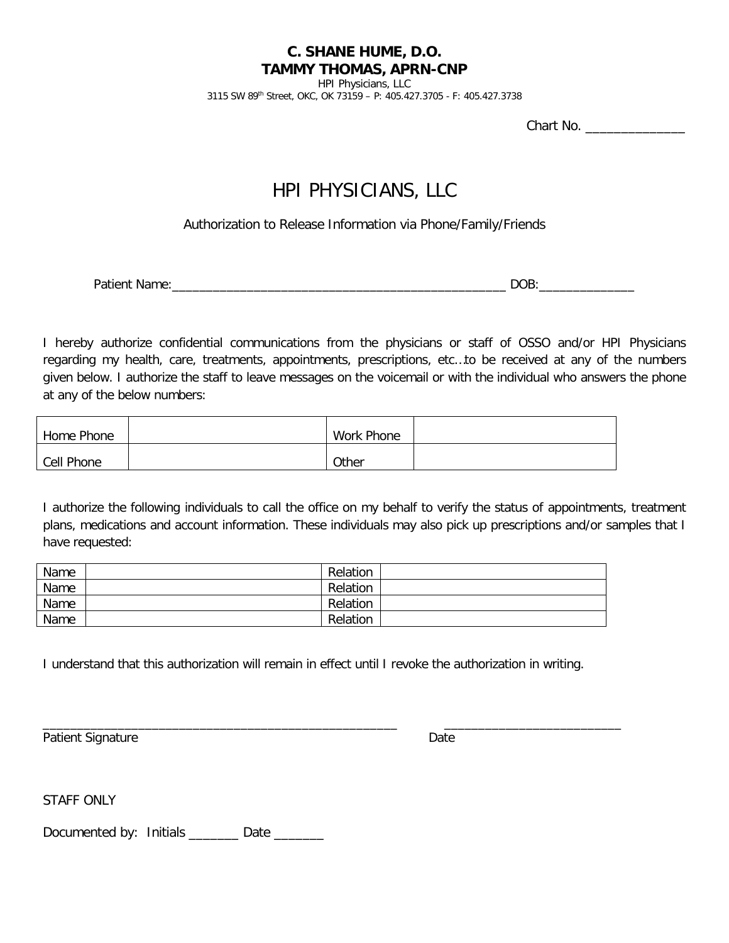HPI Physicians, LLC

3115 SW 89th Street, OKC, OK 73159 – P: 405.427.3705 - F: 405.427.3738

Chart No.

# HPI PHYSICIANS, LLC

Authorization to Release Information via Phone/Family/Friends

Patient Name:\_\_\_\_\_\_\_\_\_\_\_\_\_\_\_\_\_\_\_\_\_\_\_\_\_\_\_\_\_\_\_\_\_\_\_\_\_\_\_\_\_\_\_\_\_\_\_\_\_ DOB:\_\_\_\_\_\_\_\_\_\_\_\_\_\_

I hereby authorize confidential communications from the physicians or staff of OSSO and/or HPI Physicians regarding my health, care, treatments, appointments, prescriptions, etc…to be received at any of the numbers given below. I authorize the staff to leave messages on the voicemail or with the individual who answers the phone at any of the below numbers:

| Home Phone | Work Phone |  |
|------------|------------|--|
| Cell Phone | Other      |  |

I authorize the following individuals to call the office on my behalf to verify the status of appointments, treatment plans, medications and account information. These individuals may also pick up prescriptions and/or samples that I have requested:

| Name | Relation |  |
|------|----------|--|
| Name | Relation |  |
| Name | Relation |  |
| Name | Relation |  |

I understand that this authorization will remain in effect until I revoke the authorization in writing.

\_\_\_\_\_\_\_\_\_\_\_\_\_\_\_\_\_\_\_\_\_\_\_\_\_\_\_\_\_\_\_\_\_\_\_\_\_\_\_\_\_\_\_\_\_\_\_\_\_\_\_\_ \_\_\_\_\_\_\_\_\_\_\_\_\_\_\_\_\_\_\_\_\_\_\_\_\_\_

Patient Signature Date Date Control of the Date Date Date Date Date

STAFF ONLY

Documented by: Initials \_\_\_\_\_\_\_ Date \_\_\_\_\_\_\_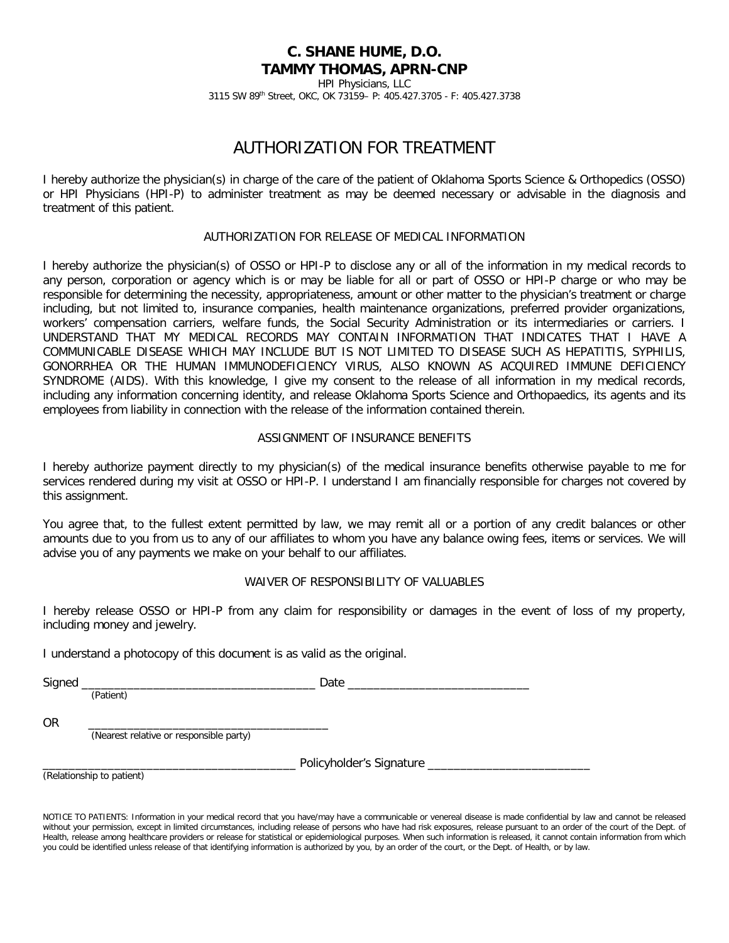HPI Physicians, LLC 3115 SW 89th Street, OKC, OK 73159– P: 405.427.3705 - F: 405.427.3738

# AUTHORIZATION FOR TREATMENT

I hereby authorize the physician(s) in charge of the care of the patient of Oklahoma Sports Science & Orthopedics (OSSO) or HPI Physicians (HPI-P) to administer treatment as may be deemed necessary or advisable in the diagnosis and treatment of this patient.

## AUTHORIZATION FOR RELEASE OF MEDICAL INFORMATION

I hereby authorize the physician(s) of OSSO or HPI-P to disclose any or all of the information in my medical records to any person, corporation or agency which is or may be liable for all or part of OSSO or HPI-P charge or who may be responsible for determining the necessity, appropriateness, amount or other matter to the physician's treatment or charge including, but not limited to, insurance companies, health maintenance organizations, preferred provider organizations, workers' compensation carriers, welfare funds, the Social Security Administration or its intermediaries or carriers. I UNDERSTAND THAT MY MEDICAL RECORDS MAY CONTAIN INFORMATION THAT INDICATES THAT I HAVE A COMMUNICABLE DISEASE WHICH MAY INCLUDE BUT IS NOT LIMITED TO DISEASE SUCH AS HEPATITIS, SYPHILIS, GONORRHEA OR THE HUMAN IMMUNODEFICIENCY VIRUS, ALSO KNOWN AS ACQUIRED IMMUNE DEFICIENCY SYNDROME (AIDS). With this knowledge, I give my consent to the release of all information in my medical records, including any information concerning identity, and release Oklahoma Sports Science and Orthopaedics, its agents and its employees from liability in connection with the release of the information contained therein.

## ASSIGNMENT OF INSURANCE BENEFITS

I hereby authorize payment directly to my physician(s) of the medical insurance benefits otherwise payable to me for services rendered during my visit at OSSO or HPI-P. I understand I am financially responsible for charges not covered by this assignment.

You agree that, to the fullest extent permitted by law, we may remit all or a portion of any credit balances or other amounts due to you from us to any of our affiliates to whom you have any balance owing fees, items or services. We will advise you of any payments we make on your behalf to our affiliates.

## WAIVER OF RESPONSIBILITY OF VALUABLES

I hereby release OSSO or HPI-P from any claim for responsibility or damages in the event of loss of my property, including money and jewelry.

I understand a photocopy of this document is as valid as the original.

| <b></b><br>Siane | <u>oac</u><br>$-$ |
|------------------|-------------------|
|------------------|-------------------|

(Patient)

OR \_\_\_\_\_\_\_\_\_\_\_\_\_\_\_\_\_\_\_\_\_\_\_\_\_\_\_\_\_\_\_\_\_\_\_\_\_ (Nearest relative or responsible party)

Policyholder's Signature \_\_

(Relationship to patient)

NOTICE TO PATIENTS: Information in your medical record that you have/may have a communicable or venereal disease is made confidential by law and cannot be released without your permission, except in limited circumstances, including release of persons who have had risk exposures, release pursuant to an order of the court of the Dept. of Health, release among healthcare providers or release for statistical or epidemiological purposes. When such information is released, it cannot contain information from which you could be identified unless release of that identifying information is authorized by you, by an order of the court, or the Dept. of Health, or by law.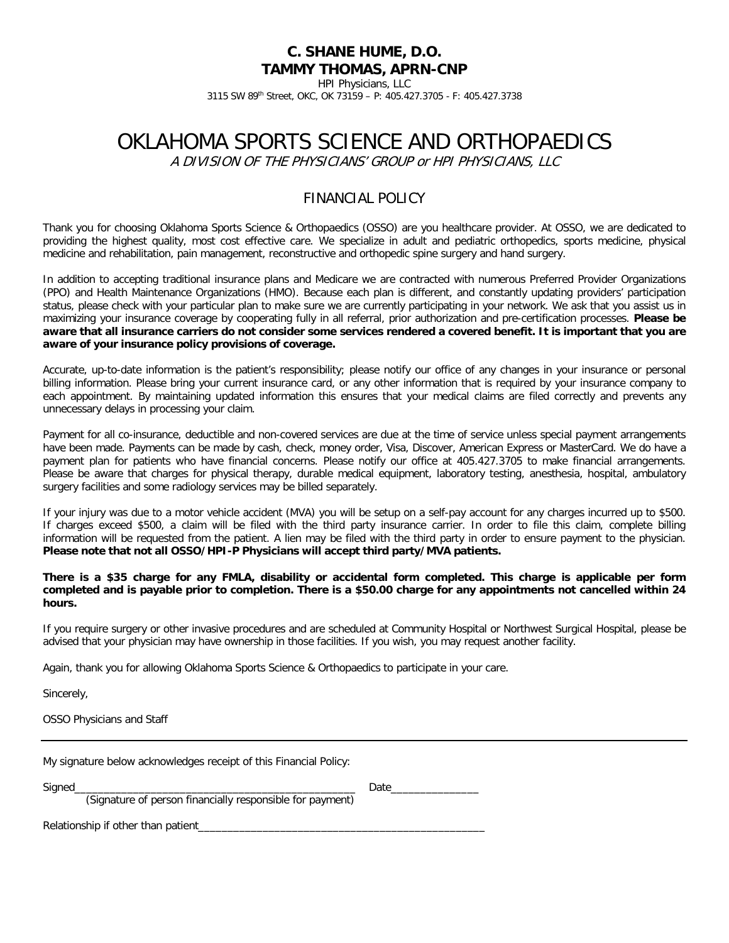HPI Physicians, LLC

3115 SW 89th Street, OKC, OK 73159 – P: 405.427.3705 - F: 405.427.3738

# OKLAHOMA SPORTS SCIENCE AND ORTHOPAEDICS

A DIVISION OF THE PHYSICIANS' GROUP or HPI PHYSICIANS, LLC

# FINANCIAL POLICY

Thank you for choosing Oklahoma Sports Science & Orthopaedics (OSSO) are you healthcare provider. At OSSO, we are dedicated to providing the highest quality, most cost effective care. We specialize in adult and pediatric orthopedics, sports medicine, physical medicine and rehabilitation, pain management, reconstructive and orthopedic spine surgery and hand surgery.

In addition to accepting traditional insurance plans and Medicare we are contracted with numerous Preferred Provider Organizations (PPO) and Health Maintenance Organizations (HMO). Because each plan is different, and constantly updating providers' participation status, please check with your particular plan to make sure we are currently participating in your network. We ask that you assist us in maximizing your insurance coverage by cooperating fully in all referral, prior authorization and pre-certification processes. **Please be aware that all insurance carriers do not consider some services rendered a covered benefit. It is important that you are aware of your insurance policy provisions of coverage.** 

Accurate, up-to-date information is the patient's responsibility; please notify our office of any changes in your insurance or personal billing information. Please bring your current insurance card, or any other information that is required by your insurance company to each appointment. By maintaining updated information this ensures that your medical claims are filed correctly and prevents any unnecessary delays in processing your claim.

Payment for all co-insurance, deductible and non-covered services are due at the time of service unless special payment arrangements have been made. Payments can be made by cash, check, money order, Visa, Discover, American Express or MasterCard. We do have a payment plan for patients who have financial concerns. Please notify our office at 405.427.3705 to make financial arrangements. Please be aware that charges for physical therapy, durable medical equipment, laboratory testing, anesthesia, hospital, ambulatory surgery facilities and some radiology services may be billed separately.

If your injury was due to a motor vehicle accident (MVA) you will be setup on a self-pay account for any charges incurred up to \$500. If charges exceed \$500, a claim will be filed with the third party insurance carrier. In order to file this claim, complete billing information will be requested from the patient. A lien may be filed with the third party in order to ensure payment to the physician. **Please note that not all OSSO/HPI-P Physicians will accept third party/MVA patients.** 

#### **There is a \$35 charge for any FMLA, disability or accidental form completed. This charge is applicable per form completed and is payable prior to completion. There is a \$50.00 charge for any appointments not cancelled within 24 hours.**

If you require surgery or other invasive procedures and are scheduled at Community Hospital or Northwest Surgical Hospital, please be advised that your physician may have ownership in those facilities. If you wish, you may request another facility.

Again, thank you for allowing Oklahoma Sports Science & Orthopaedics to participate in your care.

Sincerely,

OSSO Physicians and Staff

|        | My signature below acknowledges receipt of this Financial Policy:                                                                                                                  |      |  |
|--------|------------------------------------------------------------------------------------------------------------------------------------------------------------------------------------|------|--|
| Signed | <u> 1989 - Johann Stoff, deutscher Stoff, der Stoff, der Stoff, der Stoff, der Stoff, der Stoff, der Stoff, der S</u><br>(Signature of person financially responsible for payment) | Date |  |
|        |                                                                                                                                                                                    |      |  |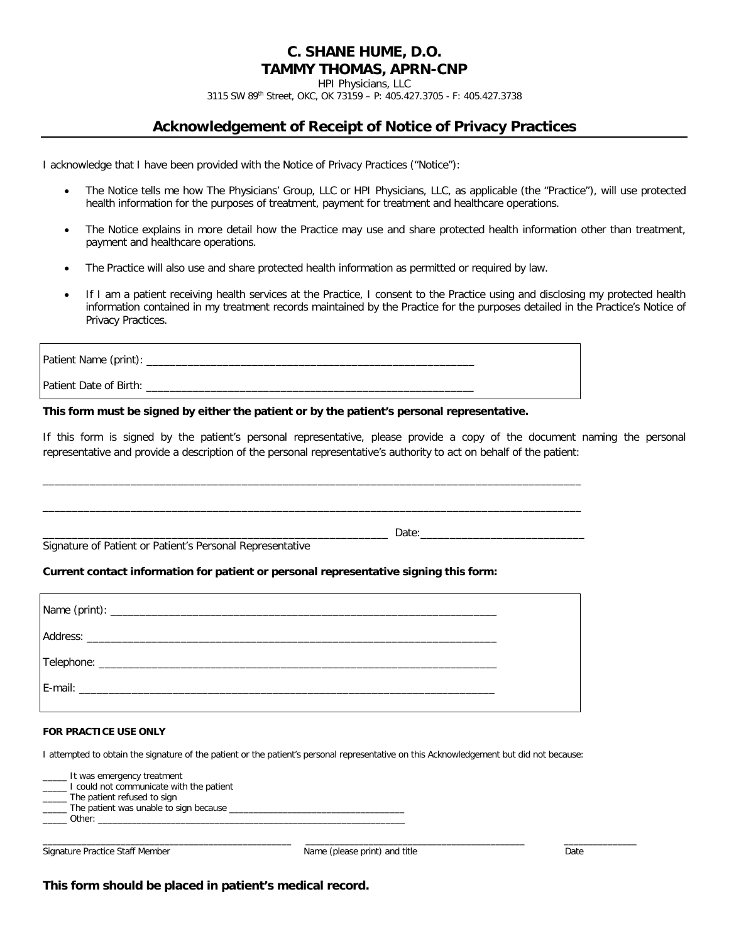HPI Physicians, LLC

3115 SW 89th Street, OKC, OK 73159 – P: 405.427.3705 - F: 405.427.3738

# **Acknowledgement of Receipt of Notice of Privacy Practices**

I acknowledge that I have been provided with the Notice of Privacy Practices ("Notice"):

- The Notice tells me how The Physicians' Group, LLC or HPI Physicians, LLC, as applicable (the "Practice"), will use protected health information for the purposes of treatment, payment for treatment and healthcare operations.
- The Notice explains in more detail how the Practice may use and share protected health information other than treatment, payment and healthcare operations.
- The Practice will also use and share protected health information as permitted or required by law.
- If I am a patient receiving health services at the Practice, I consent to the Practice using and disclosing my protected health information contained in my treatment records maintained by the Practice for the purposes detailed in the Practice's Notice of Privacy Practices.

| Patient Name (print): _____ |  |
|-----------------------------|--|
| Patient Date of Birth:      |  |

\_\_\_\_\_\_\_\_\_\_\_\_\_\_\_\_\_\_\_\_\_\_\_\_\_\_\_\_\_\_\_\_\_\_\_\_\_\_\_\_\_\_\_\_\_\_\_\_\_\_\_\_\_\_\_\_\_\_\_\_\_\_\_\_\_\_\_\_\_\_\_\_\_\_\_\_\_\_\_\_\_\_\_\_\_\_\_\_\_\_\_\_

\_\_\_\_\_\_\_\_\_\_\_\_\_\_\_\_\_\_\_\_\_\_\_\_\_\_\_\_\_\_\_\_\_\_\_\_\_\_\_\_\_\_\_\_\_\_\_\_\_\_\_\_\_\_\_\_\_\_\_\_\_\_\_\_\_\_\_\_\_\_\_\_\_\_\_\_\_\_\_\_\_\_\_\_\_\_\_\_\_\_\_\_

\_\_\_\_\_\_\_\_\_\_\_\_\_\_\_\_\_\_\_\_\_\_\_\_\_\_\_\_\_\_\_\_\_\_\_\_\_\_\_\_\_\_\_\_\_\_\_\_\_\_\_\_\_\_\_\_\_\_\_ Date:\_\_\_\_\_\_\_\_\_\_\_\_\_\_\_\_\_\_\_\_\_\_\_\_\_\_\_\_

#### **This form must be signed by either the patient or by the patient's personal representative.**

If this form is signed by the patient's personal representative, please provide a copy of the document naming the personal representative and provide a description of the personal representative's authority to act on behalf of the patient:

Signature of Patient or Patient's Personal Representative

## **Current contact information for patient or personal representative signing this form:**

#### **FOR PRACTICE USE ONLY**

I attempted to obtain the signature of the patient or the patient's personal representative on this Acknowledgement but did not because:

It was emergency treatment I could not communicate with the patient The patient refused to sign The patient was unable to sign because \_\_\_\_\_ Other: \_\_\_\_\_\_\_\_\_\_\_\_\_\_\_\_\_\_\_\_\_\_\_\_\_\_\_\_\_\_\_\_\_\_\_\_\_\_\_\_\_\_\_\_\_\_\_\_\_\_\_\_\_\_\_\_\_\_\_\_\_\_\_

Signature Practice Staff Member Name (please print) and title Name (please print) and title Name (please print) and title

\_\_\_\_\_\_\_\_\_\_\_\_\_\_\_\_\_\_\_\_\_\_\_\_\_\_\_\_\_\_\_\_\_\_\_\_\_\_\_\_\_\_\_\_\_\_\_\_\_\_\_ \_\_\_\_\_\_\_\_\_\_\_\_\_\_\_\_\_\_\_\_\_\_\_\_\_\_\_\_\_\_\_\_\_\_\_\_\_\_\_\_\_\_\_\_\_ \_\_\_\_\_\_\_\_\_\_\_\_\_\_\_

**This form should be placed in patient's medical record.**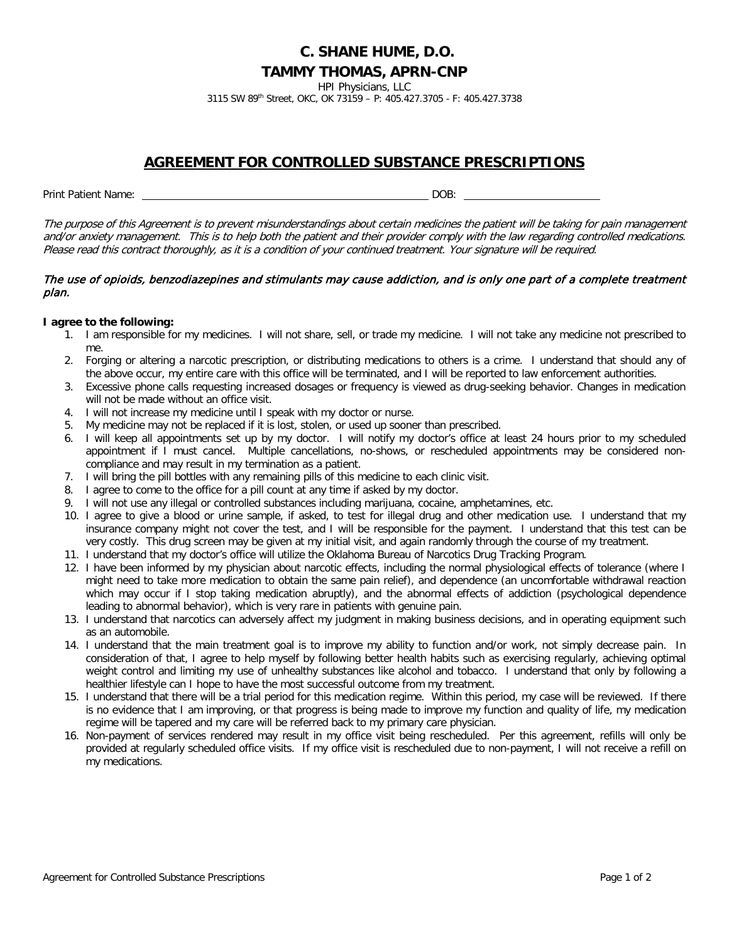HPI Physicians, LLC

3115 SW 89th Street, OKC, OK 73159 – P: 405.427.3705 - F: 405.427.3738

## **AGREEMENT FOR CONTROLLED SUBSTANCE PRESCRIPTIONS**

Print Patient Name: DOB:

The purpose of this Agreement is to prevent misunderstandings about certain medicines the patient will be taking for pain management and/or anxiety management. This is to help both the patient and their provider comply with the law regarding controlled medications. Please read this contract thoroughly, as it is a condition of your continued treatment. Your signature will be required.

## The use of opioids, benzodiazepines and stimulants may cause addiction, and is only one part of a complete treatment plan.

## **I agree to the following:**

- 1. I am responsible for my medicines. I will not share, sell, or trade my medicine. I will not take any medicine not prescribed to me.
- 2. Forging or altering a narcotic prescription, or distributing medications to others is a crime. I understand that should any of the above occur, my entire care with this office will be terminated, and I will be reported to law enforcement authorities.
- 3. Excessive phone calls requesting increased dosages or frequency is viewed as drug-seeking behavior. Changes in medication will not be made without an office visit.
- 4. I will not increase my medicine until I speak with my doctor or nurse.
- 5. My medicine may not be replaced if it is lost, stolen, or used up sooner than prescribed.
- 6. I will keep all appointments set up by my doctor. I will notify my doctor's office at least 24 hours prior to my scheduled appointment if I must cancel. Multiple cancellations, no-shows, or rescheduled appointments may be considered noncompliance and may result in my termination as a patient.
- 7. I will bring the pill bottles with any remaining pills of this medicine to each clinic visit.
- 8. I agree to come to the office for a pill count at any time if asked by my doctor.
- 9. I will not use any illegal or controlled substances including marijuana, cocaine, amphetamines, etc.
- 10. I agree to give a blood or urine sample, if asked, to test for illegal drug and other medication use. I understand that my insurance company might not cover the test, and I will be responsible for the payment. I understand that this test can be very costly. This drug screen may be given at my initial visit, and again randomly through the course of my treatment.
- 11. I understand that my doctor's office will utilize the Oklahoma Bureau of Narcotics Drug Tracking Program.
- 12. I have been informed by my physician about narcotic effects, including the normal physiological effects of tolerance (where I might need to take more medication to obtain the same pain relief), and dependence (an uncomfortable withdrawal reaction which may occur if I stop taking medication abruptly), and the abnormal effects of addiction (psychological dependence leading to abnormal behavior), which is very rare in patients with genuine pain.
- 13. I understand that narcotics can adversely affect my judgment in making business decisions, and in operating equipment such as an automobile.
- 14. I understand that the main treatment goal is to improve my ability to function and/or work, not simply decrease pain. In consideration of that, I agree to help myself by following better health habits such as exercising regularly, achieving optimal weight control and limiting my use of unhealthy substances like alcohol and tobacco. I understand that only by following a healthier lifestyle can I hope to have the most successful outcome from my treatment.
- 15. I understand that there will be a trial period for this medication regime. Within this period, my case will be reviewed. If there is no evidence that I am improving, or that progress is being made to improve my function and quality of life, my medication regime will be tapered and my care will be referred back to my primary care physician.
- 16. Non-payment of services rendered may result in my office visit being rescheduled. Per this agreement, refills will only be provided at regularly scheduled office visits. If my office visit is rescheduled due to non-payment, I will not receive a refill on my medications.